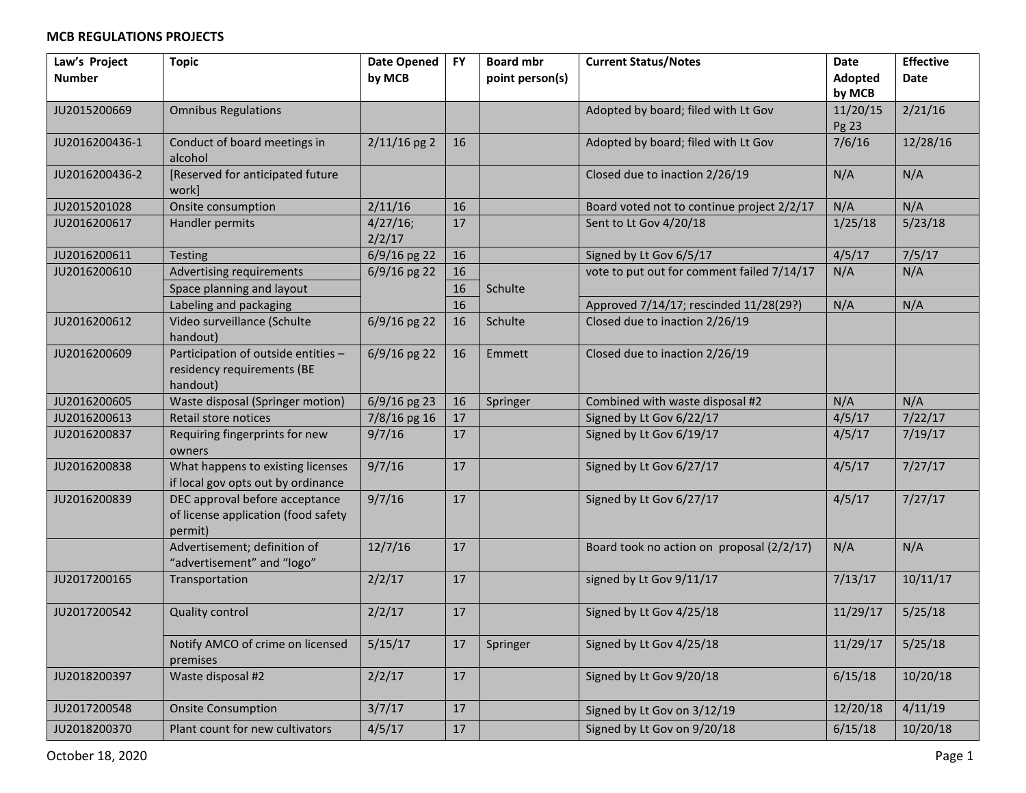| Law's Project  | <b>Topic</b>                                                                     | <b>Date Opened</b> | <b>FY</b> | <b>Board mbr</b> | <b>Current Status/Notes</b>                | Date              | <b>Effective</b> |
|----------------|----------------------------------------------------------------------------------|--------------------|-----------|------------------|--------------------------------------------|-------------------|------------------|
| <b>Number</b>  |                                                                                  | by MCB             |           | point person(s)  |                                            | Adopted<br>by MCB | Date             |
| JU2015200669   | <b>Omnibus Regulations</b>                                                       |                    |           |                  | Adopted by board; filed with Lt Gov        | 11/20/15          | 2/21/16          |
|                |                                                                                  |                    |           |                  |                                            | Pg 23             |                  |
| JU2016200436-1 | Conduct of board meetings in<br>alcohol                                          | $2/11/16$ pg 2     | 16        |                  | Adopted by board; filed with Lt Gov        | 7/6/16            | 12/28/16         |
| JU2016200436-2 | [Reserved for anticipated future<br>work]                                        |                    |           |                  | Closed due to inaction 2/26/19             | N/A               | N/A              |
| JU2015201028   | Onsite consumption                                                               | 2/11/16            | 16        |                  | Board voted not to continue project 2/2/17 | N/A               | N/A              |
| JU2016200617   | Handler permits                                                                  | 4/27/16;<br>2/2/17 | 17        |                  | Sent to Lt Gov 4/20/18                     | 1/25/18           | 5/23/18          |
| JU2016200611   | Testing                                                                          | 6/9/16 pg 22       | 16        |                  | Signed by Lt Gov 6/5/17                    | 4/5/17            | 7/5/17           |
| JU2016200610   | Advertising requirements                                                         | $6/9/16$ pg 22     | 16        |                  | vote to put out for comment failed 7/14/17 | N/A               | N/A              |
|                | Space planning and layout                                                        |                    | 16        | Schulte          |                                            |                   |                  |
|                | Labeling and packaging                                                           |                    | 16        |                  | Approved 7/14/17; rescinded 11/28(29?)     | N/A               | N/A              |
| JU2016200612   | Video surveillance (Schulte<br>handout)                                          | 6/9/16 pg 22       | 16        | Schulte          | Closed due to inaction 2/26/19             |                   |                  |
| JU2016200609   | Participation of outside entities -<br>residency requirements (BE<br>handout)    | $6/9/16$ pg 22     | 16        | Emmett           | Closed due to inaction 2/26/19             |                   |                  |
| JU2016200605   | Waste disposal (Springer motion)                                                 | 6/9/16 pg 23       | 16        | Springer         | Combined with waste disposal #2            | N/A               | N/A              |
| JU2016200613   | Retail store notices                                                             | 7/8/16 pg 16       | 17        |                  | Signed by Lt Gov 6/22/17                   | 4/5/17            | 7/22/17          |
| JU2016200837   | Requiring fingerprints for new<br>owners                                         | 9/7/16             | 17        |                  | Signed by Lt Gov 6/19/17                   | 4/5/17            | 7/19/17          |
| JU2016200838   | What happens to existing licenses<br>if local gov opts out by ordinance          | 9/7/16             | 17        |                  | Signed by Lt Gov 6/27/17                   | 4/5/17            | 7/27/17          |
| JU2016200839   | DEC approval before acceptance<br>of license application (food safety<br>permit) | 9/7/16             | 17        |                  | Signed by Lt Gov 6/27/17                   | 4/5/17            | 7/27/17          |
|                | Advertisement; definition of<br>"advertisement" and "logo"                       | 12/7/16            | 17        |                  | Board took no action on proposal (2/2/17)  | N/A               | N/A              |
| JU2017200165   | Transportation                                                                   | 2/2/17             | 17        |                  | signed by Lt Gov 9/11/17                   | 7/13/17           | 10/11/17         |
| JU2017200542   | <b>Quality control</b>                                                           | 2/2/17             | 17        |                  | Signed by Lt Gov 4/25/18                   | 11/29/17          | 5/25/18          |
|                | Notify AMCO of crime on licensed<br>premises                                     | 5/15/17            | 17        | Springer         | Signed by Lt Gov 4/25/18                   | 11/29/17          | 5/25/18          |
| JU2018200397   | Waste disposal #2                                                                | 2/2/17             | 17        |                  | Signed by Lt Gov 9/20/18                   | 6/15/18           | 10/20/18         |
| JU2017200548   | <b>Onsite Consumption</b>                                                        | 3/7/17             | 17        |                  | Signed by Lt Gov on 3/12/19                | 12/20/18          | 4/11/19          |
| JU2018200370   | Plant count for new cultivators                                                  | 4/5/17             | $17\,$    |                  | Signed by Lt Gov on 9/20/18                | 6/15/18           | 10/20/18         |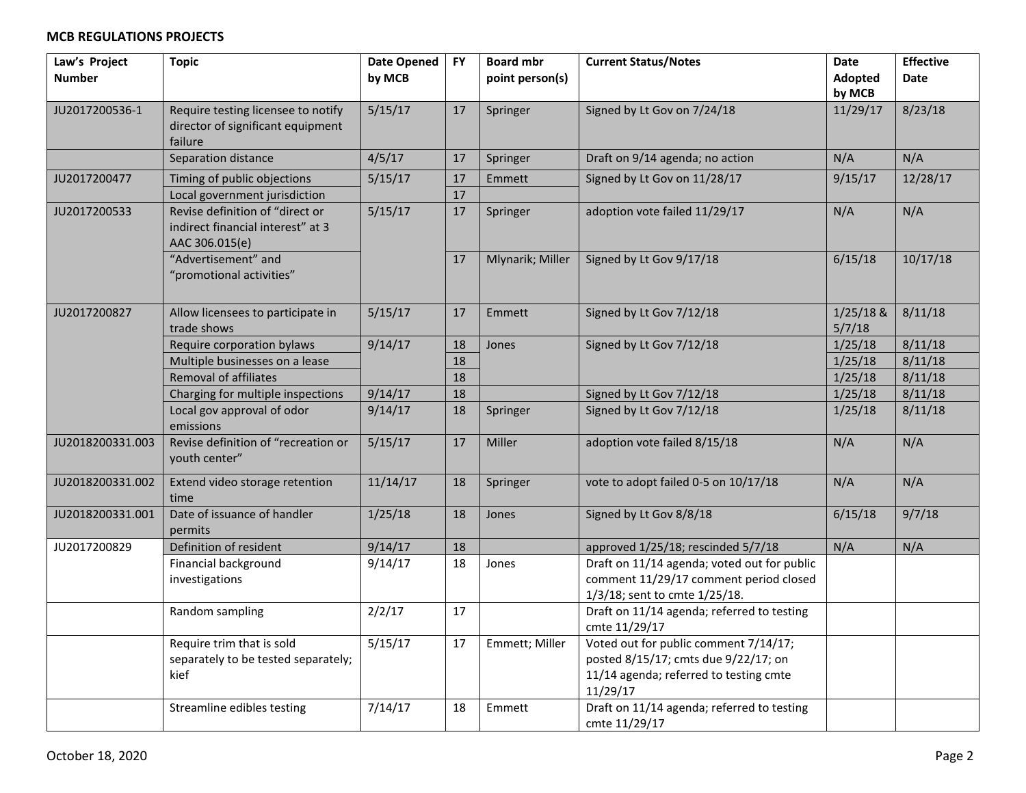| Law's Project<br><b>Number</b> | <b>Topic</b>                                                                           | <b>Date Opened</b><br>by MCB | <b>FY</b> | <b>Board mbr</b><br>point person(s) | <b>Current Status/Notes</b>                                                                                                         | <b>Date</b><br>Adopted | <b>Effective</b><br>Date |
|--------------------------------|----------------------------------------------------------------------------------------|------------------------------|-----------|-------------------------------------|-------------------------------------------------------------------------------------------------------------------------------------|------------------------|--------------------------|
|                                |                                                                                        |                              |           |                                     |                                                                                                                                     | by MCB                 |                          |
| JU2017200536-1                 | Require testing licensee to notify<br>director of significant equipment<br>failure     | 5/15/17                      | 17        | Springer                            | Signed by Lt Gov on 7/24/18                                                                                                         | 11/29/17               | 8/23/18                  |
|                                | Separation distance                                                                    | 4/5/17                       | 17        | Springer                            | Draft on 9/14 agenda; no action                                                                                                     | N/A                    | N/A                      |
| JU2017200477                   | Timing of public objections                                                            | 5/15/17                      | 17        | Emmett                              | Signed by Lt Gov on 11/28/17                                                                                                        | 9/15/17                | 12/28/17                 |
|                                | Local government jurisdiction                                                          |                              | 17        |                                     |                                                                                                                                     |                        |                          |
| JU2017200533                   | Revise definition of "direct or<br>indirect financial interest" at 3<br>AAC 306.015(e) | 5/15/17                      | 17        | Springer                            | adoption vote failed 11/29/17                                                                                                       | N/A                    | N/A                      |
|                                | "Advertisement" and<br>"promotional activities"                                        |                              | 17        | Mlynarik; Miller                    | Signed by Lt Gov 9/17/18                                                                                                            | 6/15/18                | 10/17/18                 |
| JU2017200827                   | Allow licensees to participate in<br>trade shows                                       | 5/15/17                      | 17        | Emmett                              | Signed by Lt Gov 7/12/18                                                                                                            | $1/25/18$ &<br>5/7/18  | 8/11/18                  |
|                                | Require corporation bylaws                                                             | 9/14/17                      | 18        | Jones                               | Signed by Lt Gov 7/12/18                                                                                                            | 1/25/18                | 8/11/18                  |
|                                | Multiple businesses on a lease                                                         |                              | 18        |                                     |                                                                                                                                     | 1/25/18                | 8/11/18                  |
|                                | <b>Removal of affiliates</b>                                                           |                              | 18        |                                     |                                                                                                                                     | 1/25/18                | 8/11/18                  |
|                                | Charging for multiple inspections                                                      | 9/14/17                      | 18        |                                     | Signed by Lt Gov 7/12/18                                                                                                            | 1/25/18                | 8/11/18                  |
|                                | Local gov approval of odor<br>emissions                                                | 9/14/17                      | 18        | Springer                            | Signed by Lt Gov 7/12/18                                                                                                            | 1/25/18                | 8/11/18                  |
| JU2018200331.003               | Revise definition of "recreation or<br>youth center"                                   | 5/15/17                      | 17        | Miller                              | adoption vote failed 8/15/18                                                                                                        | N/A                    | N/A                      |
| JU2018200331.002               | Extend video storage retention<br>time                                                 | 11/14/17                     | 18        | Springer                            | vote to adopt failed 0-5 on 10/17/18                                                                                                | N/A                    | N/A                      |
| JU2018200331.001               | Date of issuance of handler<br>permits                                                 | 1/25/18                      | 18        | Jones                               | Signed by Lt Gov 8/8/18                                                                                                             | 6/15/18                | 9/7/18                   |
| JU2017200829                   | Definition of resident                                                                 | 9/14/17                      | 18        |                                     | approved 1/25/18; rescinded 5/7/18                                                                                                  | N/A                    | N/A                      |
|                                | Financial background<br>investigations                                                 | 9/14/17                      | 18        | Jones                               | Draft on 11/14 agenda; voted out for public<br>comment 11/29/17 comment period closed<br>1/3/18; sent to cmte 1/25/18.              |                        |                          |
|                                | Random sampling                                                                        | 2/2/17                       | 17        |                                     | Draft on 11/14 agenda; referred to testing<br>cmte 11/29/17                                                                         |                        |                          |
|                                | Require trim that is sold<br>separately to be tested separately;<br>kief               | 5/15/17                      | $17\,$    | Emmett; Miller                      | Voted out for public comment 7/14/17;<br>posted 8/15/17; cmts due 9/22/17; on<br>11/14 agenda; referred to testing cmte<br>11/29/17 |                        |                          |
|                                | Streamline edibles testing                                                             | 7/14/17                      | 18        | Emmett                              | Draft on 11/14 agenda; referred to testing<br>cmte 11/29/17                                                                         |                        |                          |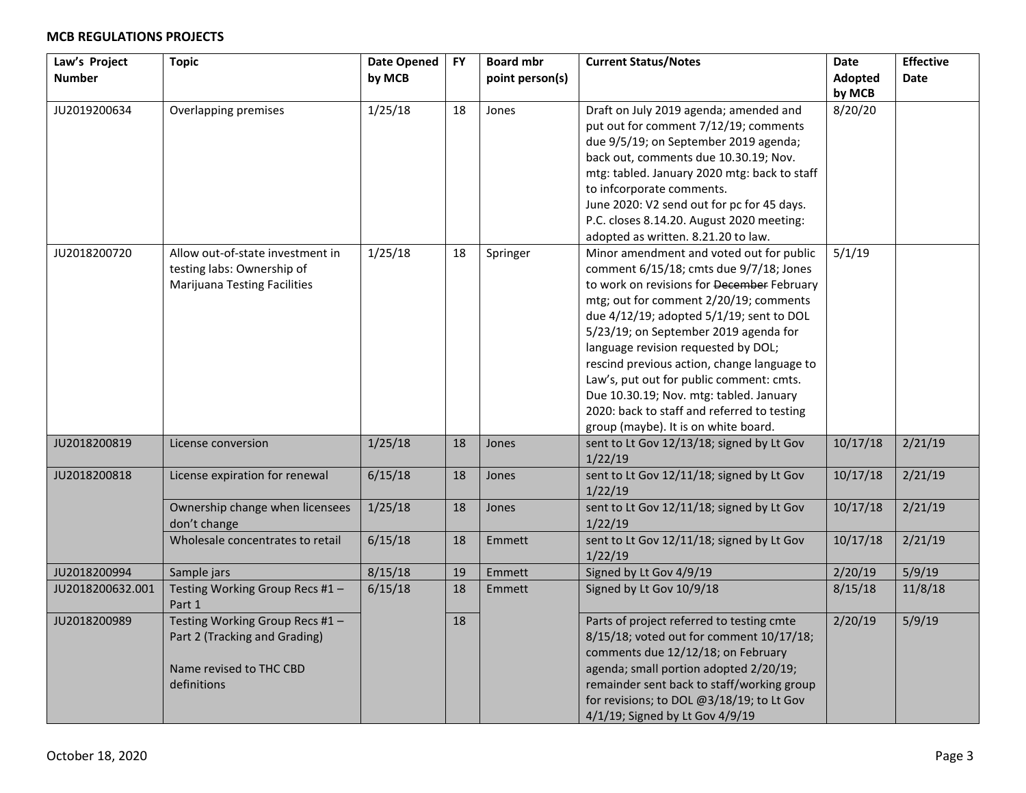| Law's Project    | <b>Topic</b>                        | <b>Date Opened</b> | <b>FY</b> | <b>Board mbr</b> | <b>Current Status/Notes</b>                  | <b>Date</b> | <b>Effective</b> |
|------------------|-------------------------------------|--------------------|-----------|------------------|----------------------------------------------|-------------|------------------|
| <b>Number</b>    |                                     | by MCB             |           | point person(s)  |                                              | Adopted     | <b>Date</b>      |
|                  |                                     |                    |           |                  |                                              | by MCB      |                  |
| JU2019200634     | Overlapping premises                | 1/25/18            | 18        | Jones            | Draft on July 2019 agenda; amended and       | 8/20/20     |                  |
|                  |                                     |                    |           |                  | put out for comment 7/12/19; comments        |             |                  |
|                  |                                     |                    |           |                  | due 9/5/19; on September 2019 agenda;        |             |                  |
|                  |                                     |                    |           |                  | back out, comments due 10.30.19; Nov.        |             |                  |
|                  |                                     |                    |           |                  | mtg: tabled. January 2020 mtg: back to staff |             |                  |
|                  |                                     |                    |           |                  | to infcorporate comments.                    |             |                  |
|                  |                                     |                    |           |                  | June 2020: V2 send out for pc for 45 days.   |             |                  |
|                  |                                     |                    |           |                  | P.C. closes 8.14.20. August 2020 meeting:    |             |                  |
|                  |                                     |                    |           |                  | adopted as written. 8.21.20 to law.          |             |                  |
| JU2018200720     | Allow out-of-state investment in    | 1/25/18            | 18        | Springer         | Minor amendment and voted out for public     | 5/1/19      |                  |
|                  | testing labs: Ownership of          |                    |           |                  | comment 6/15/18; cmts due 9/7/18; Jones      |             |                  |
|                  | <b>Marijuana Testing Facilities</b> |                    |           |                  | to work on revisions for December February   |             |                  |
|                  |                                     |                    |           |                  | mtg; out for comment 2/20/19; comments       |             |                  |
|                  |                                     |                    |           |                  | due 4/12/19; adopted 5/1/19; sent to DOL     |             |                  |
|                  |                                     |                    |           |                  | 5/23/19; on September 2019 agenda for        |             |                  |
|                  |                                     |                    |           |                  | language revision requested by DOL;          |             |                  |
|                  |                                     |                    |           |                  | rescind previous action, change language to  |             |                  |
|                  |                                     |                    |           |                  | Law's, put out for public comment: cmts.     |             |                  |
|                  |                                     |                    |           |                  | Due 10.30.19; Nov. mtg: tabled. January      |             |                  |
|                  |                                     |                    |           |                  | 2020: back to staff and referred to testing  |             |                  |
|                  |                                     |                    |           |                  | group (maybe). It is on white board.         |             |                  |
| JU2018200819     | License conversion                  | 1/25/18            | 18        | Jones            | sent to Lt Gov 12/13/18; signed by Lt Gov    | 10/17/18    | 2/21/19          |
|                  |                                     |                    |           |                  | 1/22/19                                      |             |                  |
| JU2018200818     | License expiration for renewal      | 6/15/18            | 18        | Jones            | sent to Lt Gov 12/11/18; signed by Lt Gov    | 10/17/18    | 2/21/19          |
|                  |                                     |                    |           |                  | 1/22/19                                      |             |                  |
|                  | Ownership change when licensees     | 1/25/18            | 18        | Jones            | sent to Lt Gov 12/11/18; signed by Lt Gov    | 10/17/18    | 2/21/19          |
|                  | don't change                        |                    |           |                  | 1/22/19                                      |             |                  |
|                  | Wholesale concentrates to retail    | 6/15/18            | 18        | Emmett           | sent to Lt Gov 12/11/18; signed by Lt Gov    | 10/17/18    | 2/21/19          |
|                  |                                     |                    |           |                  | 1/22/19                                      |             |                  |
| JU2018200994     | Sample jars                         | 8/15/18            | 19        | Emmett           | Signed by Lt Gov 4/9/19                      | 2/20/19     | 5/9/19           |
| JU2018200632.001 | Testing Working Group Recs #1-      | 6/15/18            | 18        | Emmett           | Signed by Lt Gov 10/9/18                     | 8/15/18     | 11/8/18          |
|                  | Part 1                              |                    |           |                  |                                              |             |                  |
| JU2018200989     | Testing Working Group Recs #1-      |                    | 18        |                  | Parts of project referred to testing cmte    | 2/20/19     | 5/9/19           |
|                  | Part 2 (Tracking and Grading)       |                    |           |                  | 8/15/18; voted out for comment 10/17/18;     |             |                  |
|                  |                                     |                    |           |                  | comments due 12/12/18; on February           |             |                  |
|                  | Name revised to THC CBD             |                    |           |                  | agenda; small portion adopted 2/20/19;       |             |                  |
|                  | definitions                         |                    |           |                  | remainder sent back to staff/working group   |             |                  |
|                  |                                     |                    |           |                  | for revisions; to DOL @3/18/19; to Lt Gov    |             |                  |
|                  |                                     |                    |           |                  | 4/1/19; Signed by Lt Gov 4/9/19              |             |                  |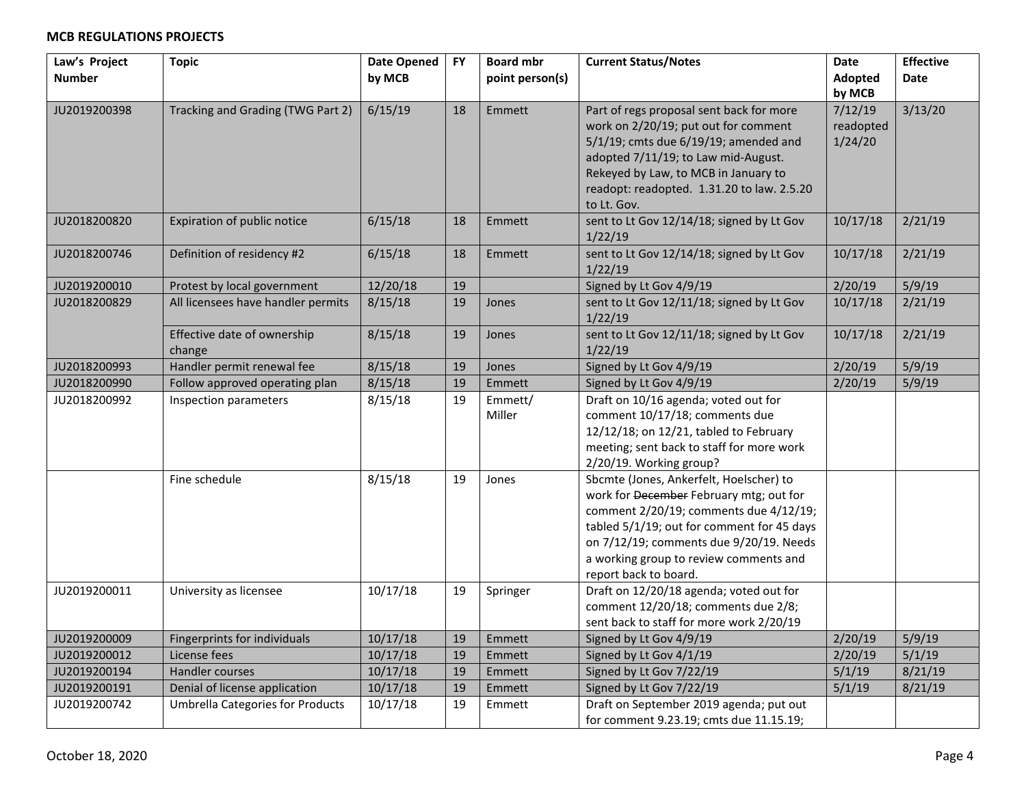| Law's Project | <b>Topic</b>                            | <b>Date Opened</b> | <b>FY</b> | <b>Board mbr</b> | <b>Current Status/Notes</b>                          | <b>Date</b> | <b>Effective</b> |
|---------------|-----------------------------------------|--------------------|-----------|------------------|------------------------------------------------------|-------------|------------------|
| <b>Number</b> |                                         | by MCB             |           | point person(s)  |                                                      | Adopted     | <b>Date</b>      |
|               |                                         |                    |           |                  |                                                      | by MCB      |                  |
| JU2019200398  | Tracking and Grading (TWG Part 2)       | 6/15/19            | 18        | Emmett           | Part of regs proposal sent back for more             | 7/12/19     | 3/13/20          |
|               |                                         |                    |           |                  | work on 2/20/19; put out for comment                 | readopted   |                  |
|               |                                         |                    |           |                  | 5/1/19; cmts due 6/19/19; amended and                | 1/24/20     |                  |
|               |                                         |                    |           |                  | adopted 7/11/19; to Law mid-August.                  |             |                  |
|               |                                         |                    |           |                  | Rekeyed by Law, to MCB in January to                 |             |                  |
|               |                                         |                    |           |                  | readopt: readopted. 1.31.20 to law. 2.5.20           |             |                  |
|               |                                         |                    |           |                  | to Lt. Gov.                                          |             |                  |
| JU2018200820  | Expiration of public notice             | 6/15/18            | 18        | Emmett           | sent to Lt Gov 12/14/18; signed by Lt Gov            | 10/17/18    | 2/21/19          |
|               |                                         |                    |           |                  | 1/22/19                                              |             |                  |
| JU2018200746  | Definition of residency #2              | 6/15/18            | 18        | Emmett           | sent to Lt Gov 12/14/18; signed by Lt Gov            | 10/17/18    | 2/21/19          |
|               |                                         |                    |           |                  | 1/22/19                                              |             |                  |
| JU2019200010  | Protest by local government             | 12/20/18           | 19        |                  | Signed by Lt Gov 4/9/19                              | 2/20/19     | 5/9/19           |
| JU2018200829  | All licensees have handler permits      | 8/15/18            | 19        | Jones            | sent to Lt Gov 12/11/18; signed by Lt Gov            | 10/17/18    | 2/21/19          |
|               |                                         |                    |           |                  | 1/22/19                                              |             |                  |
|               | Effective date of ownership             | 8/15/18            | 19        | Jones            | sent to Lt Gov 12/11/18; signed by Lt Gov<br>1/22/19 | 10/17/18    | 2/21/19          |
| JU2018200993  | change<br>Handler permit renewal fee    | 8/15/18            | 19        | Jones            | Signed by Lt Gov 4/9/19                              | 2/20/19     | 5/9/19           |
| JU2018200990  | Follow approved operating plan          | 8/15/18            | 19        | Emmett           | Signed by Lt Gov 4/9/19                              | 2/20/19     | 5/9/19           |
| JU2018200992  | Inspection parameters                   | 8/15/18            | 19        | Emmett/          | Draft on 10/16 agenda; voted out for                 |             |                  |
|               |                                         |                    |           | Miller           | comment 10/17/18; comments due                       |             |                  |
|               |                                         |                    |           |                  | 12/12/18; on 12/21, tabled to February               |             |                  |
|               |                                         |                    |           |                  | meeting; sent back to staff for more work            |             |                  |
|               |                                         |                    |           |                  | 2/20/19. Working group?                              |             |                  |
|               | Fine schedule                           | 8/15/18            | 19        | Jones            | Sbcmte (Jones, Ankerfelt, Hoelscher) to              |             |                  |
|               |                                         |                    |           |                  | work for December February mtg; out for              |             |                  |
|               |                                         |                    |           |                  | comment 2/20/19; comments due 4/12/19;               |             |                  |
|               |                                         |                    |           |                  | tabled 5/1/19; out for comment for 45 days           |             |                  |
|               |                                         |                    |           |                  | on 7/12/19; comments due 9/20/19. Needs              |             |                  |
|               |                                         |                    |           |                  | a working group to review comments and               |             |                  |
|               |                                         |                    |           |                  | report back to board.                                |             |                  |
| JU2019200011  | University as licensee                  | 10/17/18           | 19        | Springer         | Draft on 12/20/18 agenda; voted out for              |             |                  |
|               |                                         |                    |           |                  | comment 12/20/18; comments due 2/8;                  |             |                  |
|               |                                         |                    |           |                  | sent back to staff for more work 2/20/19             |             |                  |
| JU2019200009  | Fingerprints for individuals            | 10/17/18           | 19        | Emmett           | Signed by Lt Gov 4/9/19                              | 2/20/19     | 5/9/19           |
| JU2019200012  | License fees                            | 10/17/18           | 19        | Emmett           | Signed by Lt Gov 4/1/19                              | 2/20/19     | 5/1/19           |
| JU2019200194  | Handler courses                         | 10/17/18           | 19        | Emmett           | Signed by Lt Gov 7/22/19                             | 5/1/19      | 8/21/19          |
| JU2019200191  | Denial of license application           | 10/17/18           | 19        | Emmett           | Signed by Lt Gov 7/22/19                             | 5/1/19      | 8/21/19          |
| JU2019200742  | <b>Umbrella Categories for Products</b> | 10/17/18           | 19        | Emmett           | Draft on September 2019 agenda; put out              |             |                  |
|               |                                         |                    |           |                  | for comment 9.23.19; cmts due 11.15.19;              |             |                  |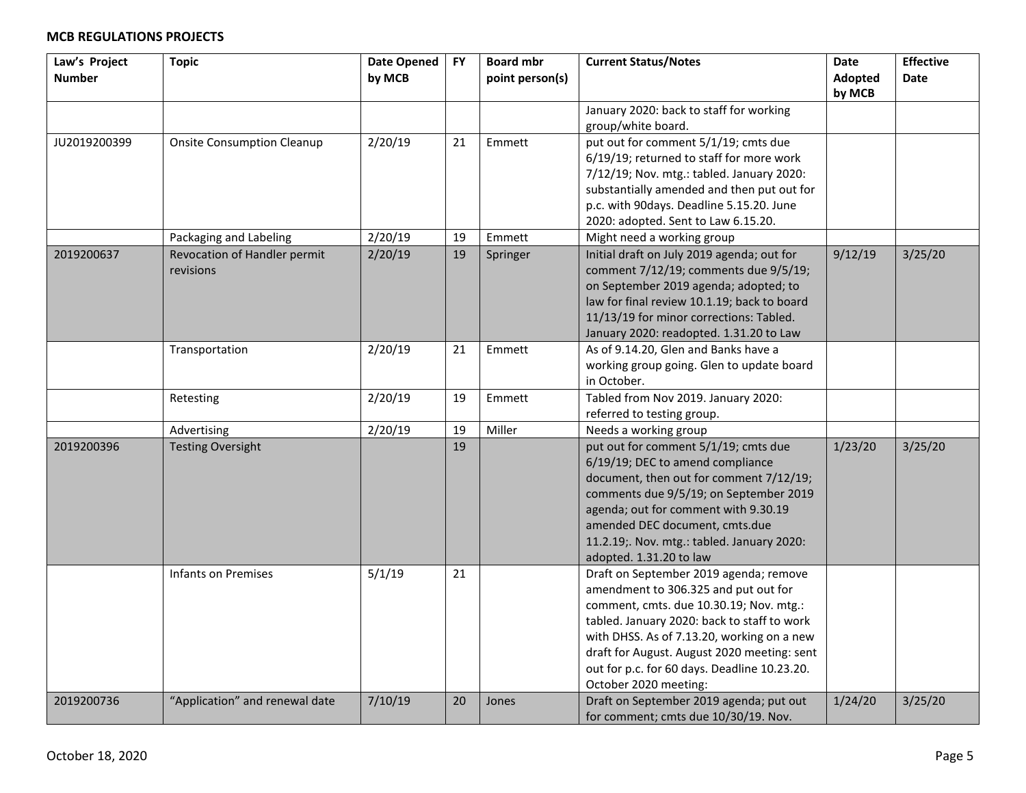| Law's Project<br><b>Number</b> | <b>Topic</b>                              | <b>Date Opened</b><br>by MCB | <b>FY</b> | <b>Board mbr</b><br>point person(s) | <b>Current Status/Notes</b>                                                                                                                                                                                                                                                                                                                    | <b>Date</b><br><b>Adopted</b><br>by MCB | <b>Effective</b><br>Date |
|--------------------------------|-------------------------------------------|------------------------------|-----------|-------------------------------------|------------------------------------------------------------------------------------------------------------------------------------------------------------------------------------------------------------------------------------------------------------------------------------------------------------------------------------------------|-----------------------------------------|--------------------------|
|                                |                                           |                              |           |                                     | January 2020: back to staff for working<br>group/white board.                                                                                                                                                                                                                                                                                  |                                         |                          |
| JU2019200399                   | <b>Onsite Consumption Cleanup</b>         | 2/20/19                      | 21        | Emmett                              | put out for comment 5/1/19; cmts due<br>6/19/19; returned to staff for more work<br>7/12/19; Nov. mtg.: tabled. January 2020:<br>substantially amended and then put out for<br>p.c. with 90days. Deadline 5.15.20. June<br>2020: adopted. Sent to Law 6.15.20.                                                                                 |                                         |                          |
|                                | Packaging and Labeling                    | 2/20/19                      | 19        | Emmett                              | Might need a working group                                                                                                                                                                                                                                                                                                                     |                                         |                          |
| 2019200637                     | Revocation of Handler permit<br>revisions | 2/20/19                      | 19        | Springer                            | Initial draft on July 2019 agenda; out for<br>comment 7/12/19; comments due 9/5/19;<br>on September 2019 agenda; adopted; to<br>law for final review 10.1.19; back to board<br>11/13/19 for minor corrections: Tabled.<br>January 2020: readopted. 1.31.20 to Law                                                                              | 9/12/19                                 | 3/25/20                  |
|                                | Transportation                            | 2/20/19                      | 21        | Emmett                              | As of 9.14.20, Glen and Banks have a<br>working group going. Glen to update board<br>in October.                                                                                                                                                                                                                                               |                                         |                          |
|                                | Retesting                                 | 2/20/19                      | 19        | Emmett                              | Tabled from Nov 2019. January 2020:<br>referred to testing group.                                                                                                                                                                                                                                                                              |                                         |                          |
|                                | Advertising                               | 2/20/19                      | 19        | Miller                              | Needs a working group                                                                                                                                                                                                                                                                                                                          |                                         |                          |
| 2019200396                     | <b>Testing Oversight</b>                  |                              | 19        |                                     | put out for comment 5/1/19; cmts due<br>6/19/19; DEC to amend compliance<br>document, then out for comment 7/12/19;<br>comments due 9/5/19; on September 2019<br>agenda; out for comment with 9.30.19<br>amended DEC document, cmts.due<br>11.2.19; Nov. mtg.: tabled. January 2020:<br>adopted. 1.31.20 to law                                | 1/23/20                                 | 3/25/20                  |
|                                | Infants on Premises                       | 5/1/19                       | 21        |                                     | Draft on September 2019 agenda; remove<br>amendment to 306.325 and put out for<br>comment, cmts. due 10.30.19; Nov. mtg.:<br>tabled. January 2020: back to staff to work<br>with DHSS. As of 7.13.20, working on a new<br>draft for August. August 2020 meeting: sent<br>out for p.c. for 60 days. Deadline 10.23.20.<br>October 2020 meeting: |                                         |                          |
| 2019200736                     | "Application" and renewal date            | 7/10/19                      | 20        | Jones                               | Draft on September 2019 agenda; put out<br>for comment; cmts due 10/30/19. Nov.                                                                                                                                                                                                                                                                | 1/24/20                                 | 3/25/20                  |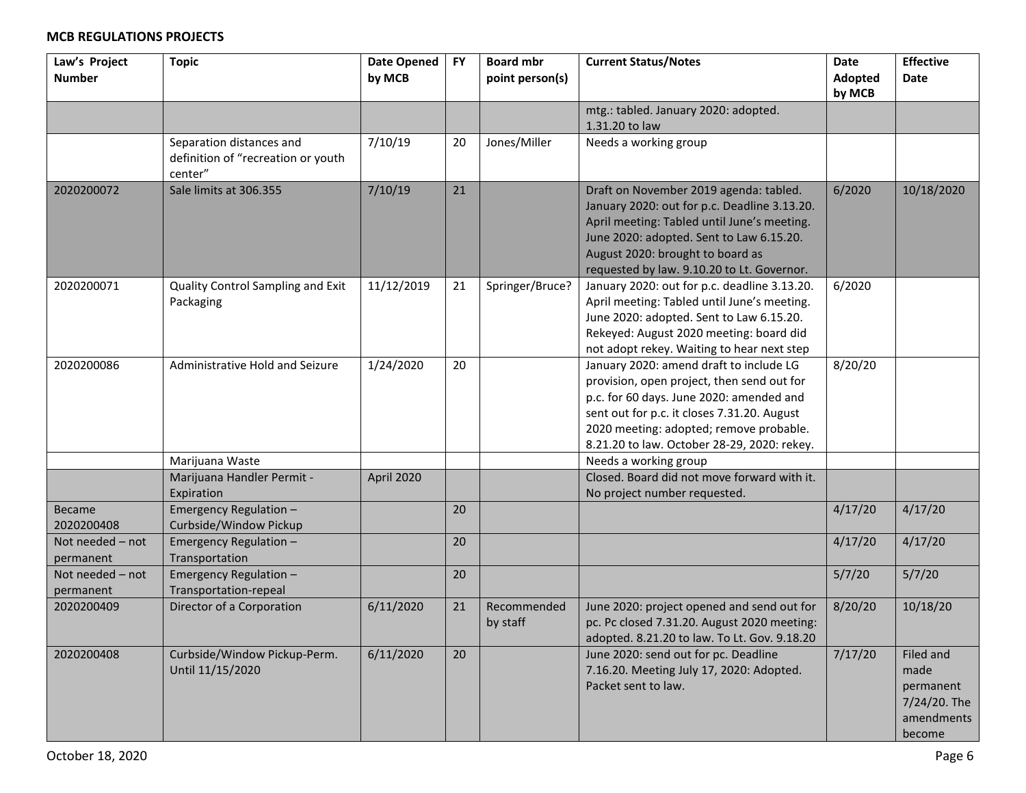| Law's Project<br><b>Number</b> | <b>Topic</b>                                                              | <b>Date Opened</b><br>by MCB | <b>FY</b> | <b>Board mbr</b><br>point person(s) | <b>Current Status/Notes</b>                                                                                                                                                                                                                                                | <b>Date</b><br>Adopted | <b>Effective</b><br>Date                                               |
|--------------------------------|---------------------------------------------------------------------------|------------------------------|-----------|-------------------------------------|----------------------------------------------------------------------------------------------------------------------------------------------------------------------------------------------------------------------------------------------------------------------------|------------------------|------------------------------------------------------------------------|
|                                |                                                                           |                              |           |                                     |                                                                                                                                                                                                                                                                            | by MCB                 |                                                                        |
|                                |                                                                           |                              |           |                                     | mtg.: tabled. January 2020: adopted.<br>1.31.20 to law                                                                                                                                                                                                                     |                        |                                                                        |
|                                | Separation distances and<br>definition of "recreation or youth<br>center" | 7/10/19                      | 20        | Jones/Miller                        | Needs a working group                                                                                                                                                                                                                                                      |                        |                                                                        |
| 2020200072                     | Sale limits at 306.355                                                    | 7/10/19                      | 21        |                                     | Draft on November 2019 agenda: tabled.<br>January 2020: out for p.c. Deadline 3.13.20.<br>April meeting: Tabled until June's meeting.<br>June 2020: adopted. Sent to Law 6.15.20.<br>August 2020: brought to board as<br>requested by law. 9.10.20 to Lt. Governor.        | 6/2020                 | 10/18/2020                                                             |
| 2020200071                     | Quality Control Sampling and Exit<br>Packaging                            | 11/12/2019                   | 21        | Springer/Bruce?                     | January 2020: out for p.c. deadline 3.13.20.<br>April meeting: Tabled until June's meeting.<br>June 2020: adopted. Sent to Law 6.15.20.<br>Rekeyed: August 2020 meeting: board did<br>not adopt rekey. Waiting to hear next step                                           | 6/2020                 |                                                                        |
| 2020200086                     | Administrative Hold and Seizure                                           | 1/24/2020                    | 20        |                                     | January 2020: amend draft to include LG<br>provision, open project, then send out for<br>p.c. for 60 days. June 2020: amended and<br>sent out for p.c. it closes 7.31.20. August<br>2020 meeting: adopted; remove probable.<br>8.21.20 to law. October 28-29, 2020: rekey. | 8/20/20                |                                                                        |
|                                | Marijuana Waste                                                           |                              |           |                                     | Needs a working group                                                                                                                                                                                                                                                      |                        |                                                                        |
|                                | Marijuana Handler Permit -<br>Expiration                                  | April 2020                   |           |                                     | Closed. Board did not move forward with it.<br>No project number requested.                                                                                                                                                                                                |                        |                                                                        |
| Became<br>2020200408           | Emergency Regulation -<br>Curbside/Window Pickup                          |                              | 20        |                                     |                                                                                                                                                                                                                                                                            | 4/17/20                | 4/17/20                                                                |
| Not needed - not<br>permanent  | Emergency Regulation -<br>Transportation                                  |                              | 20        |                                     |                                                                                                                                                                                                                                                                            | 4/17/20                | 4/17/20                                                                |
| Not needed - not<br>permanent  | Emergency Regulation -<br>Transportation-repeal                           |                              | 20        |                                     |                                                                                                                                                                                                                                                                            | 5/7/20                 | 5/7/20                                                                 |
| 2020200409                     | Director of a Corporation                                                 | 6/11/2020                    | 21        | Recommended<br>by staff             | June 2020: project opened and send out for<br>pc. Pc closed 7.31.20. August 2020 meeting:<br>adopted. 8.21.20 to law. To Lt. Gov. 9.18.20                                                                                                                                  | 8/20/20                | 10/18/20                                                               |
| 2020200408                     | Curbside/Window Pickup-Perm.<br>Until 11/15/2020                          | 6/11/2020                    | 20        |                                     | June 2020: send out for pc. Deadline<br>7.16.20. Meeting July 17, 2020: Adopted.<br>Packet sent to law.                                                                                                                                                                    | 7/17/20                | Filed and<br>made<br>permanent<br>7/24/20. The<br>amendments<br>become |